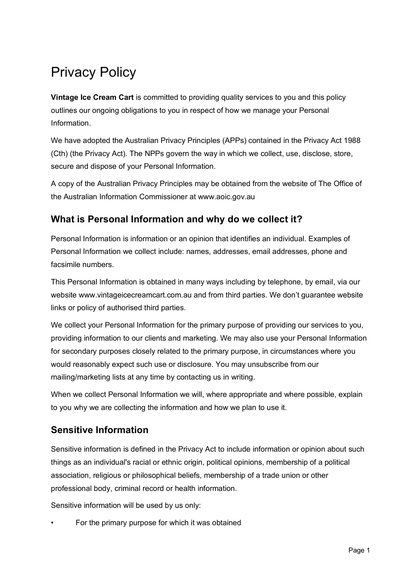# Privacy Policy

**Vintage Ice Cream Cart** is committed to providing quality services to you and this policy outlines our ongoing obligations to you in respect of how we manage your Personal Information.

We have adopted the Australian Privacy Principles (APPs) contained in the Privacy Act 1988 (Cth) (the Privacy Act). The NPPs govern the way in which we collect, use, disclose, store, secure and dispose of your Personal Information.

A copy of the Australian Privacy Principles may be obtained from the website of The Office of the Australian Information Commissioner at www.aoic.gov.au

## **What is Personal Information and why do we collect it?**

Personal Information is information or an opinion that identifies an individual. Examples of Personal Information we collect include: names, addresses, email addresses, phone and facsimile numbers.

This Personal Information is obtained in many ways including by telephone, by email, via our website www.vintageicecreamcart.com.au and from third parties. We don't guarantee website links or policy of authorised third parties.

We collect your Personal Information for the primary purpose of providing our services to you, providing information to our clients and marketing. We may also use your Personal Information for secondary purposes closely related to the primary purpose, in circumstances where you would reasonably expect such use or disclosure. You may unsubscribe from our mailing/marketing lists at any time by contacting us in writing.

When we collect Personal Information we will, where appropriate and where possible, explain to you why we are collecting the information and how we plan to use it.

## **Sensitive Information**

Sensitive information is defined in the Privacy Act to include information or opinion about such things as an individual's racial or ethnic origin, political opinions, membership of a political association, religious or philosophical beliefs, membership of a trade union or other professional body, criminal record or health information.

Sensitive information will be used by us only:

• For the primary purpose for which it was obtained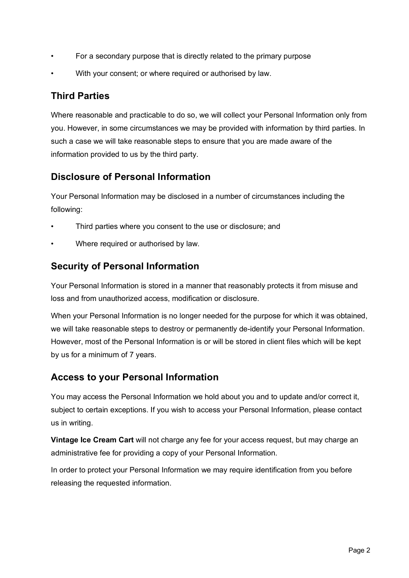- For a secondary purpose that is directly related to the primary purpose
- With your consent; or where required or authorised by law.

#### **Third Parties**

Where reasonable and practicable to do so, we will collect your Personal Information only from you. However, in some circumstances we may be provided with information by third parties. In such a case we will take reasonable steps to ensure that you are made aware of the information provided to us by the third party.

### **Disclosure of Personal Information**

Your Personal Information may be disclosed in a number of circumstances including the following:

- Third parties where you consent to the use or disclosure; and
- Where required or authorised by law.

### **Security of Personal Information**

Your Personal Information is stored in a manner that reasonably protects it from misuse and loss and from unauthorized access, modification or disclosure.

When your Personal Information is no longer needed for the purpose for which it was obtained, we will take reasonable steps to destroy or permanently de-identify your Personal Information. However, most of the Personal Information is or will be stored in client files which will be kept by us for a minimum of 7 years.

### **Access to your Personal Information**

You may access the Personal Information we hold about you and to update and/or correct it, subject to certain exceptions. If you wish to access your Personal Information, please contact us in writing.

**Vintage Ice Cream Cart** will not charge any fee for your access request, but may charge an administrative fee for providing a copy of your Personal Information.

In order to protect your Personal Information we may require identification from you before releasing the requested information.